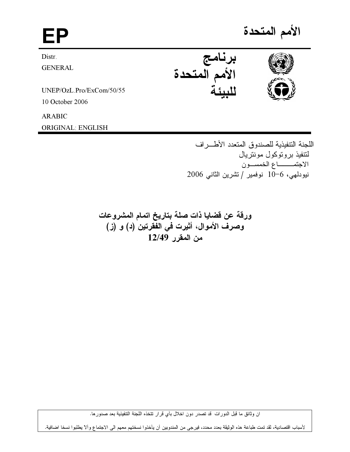## EP and the set of the set of the set of the set of the set of the set of the set of the set of the set of the <br>EP and the set of the set of the set of the set of the set of the set of the set of the set of the set of the

Distr.

GENERAL

UNEP/OzL.Pro/ExCom/50/55

10 October 2006

ARABIC

ORIGINAL: ENGLISH

الأمم المتحدة





اللجنة النتفيذية للصندوق المتعدد الأطـــراف لتتفيذ بروتوكول مونتريال الاجتمــــــــــاع الخمســـون نيودلمهي، 6−10 نوفمير / تشرين الثاني 2006

ورقة عن فضايا ذات صلة بتاريخ اتمام المشروعات وصرف الأموال، أثيرت في الفقرتين (د) و (ز) 12/49 

ان وثائق ما قبل الدورات ً قد تصدر دون اخلال بأي قرار نتخذه اللجنة التنفيذية بعد صدور ها.

لأسباب اقتصادية، لقد تمت طباعة هذه الوثيقة بعدد محدد، فيرجى من المندوبين أن يأخذوا نسختهم معهم الى الاجتماع وألآ يطلبوا نسخا اضافية.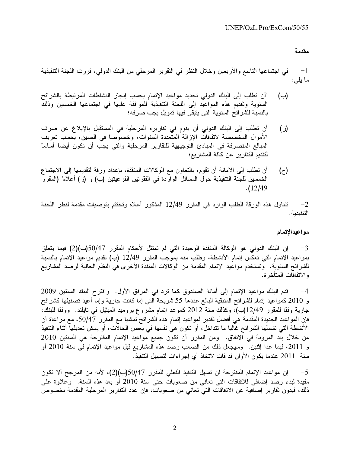ي اجتماعها التاسع والاربعين وخلال النظر في التقرير المرحلي من البنك الدولي، قررت اللجنة التنفيذية  $-1$ ما يلي:

- (ب) "ان تطلب إلى البنك الدولي تحديد مواعيد الإتمام بحسب إنجاز النشاطات المرتبطة بالشرائح السنوية وتقديم هذه المواعيد إلى اللجنة التنفيذية للموافقة عليها في اجتماعها الخمسين وذلك بالنسبة للشر ائح السنوية التي يتبقى فيها تمويل يجب صرفه؛
- (ز ) ان تطلب إلى البنك الدولي ان يقوم في تقاريره المرحلية في المستقبل بالإبلاغ عن صرف الاموال المخصصة لاتفاقات الإزالة المتعددة السنوات، وخصوصا في الصين، بحسب تعريف المبالغ المنصرفة في المبادئ التوجيهية للتقارير المرحلية والتي يجب ان تكون ايضاً اساساً لتقديم التقارير عن كافة المشاريع؛
- (ح) ان تطلب إلى الامانة ان تقوم، بالتعاون مع الوكالات المنقذة، بإعداد ورقة لتقديمها إلى الاجتماع الخمسين للجنة التنفيذية حول المسائل الواردة في الفقر تين الفر عيتين (ب) و (ز) اعلام" (المقرر .(12/49

2− تتناول هذه الورقة الطلب الوارد في المقرر 12/49 المذكور أعلاه وتختتم بتوصيات مقدمة لنظر اللجنة التنفيذية.

## مواعيدالإتمام

3— إن البنك الدولي هو الوكالة المنفذة الوحيدة التي لم تمتثل لأحكام المقرر 50/47(ب)(2) فيما يتعلق بمواعيد الإتمام التي تعكس إتمام الأنشطة، وطلب منه بموّجب المقرر 12/49 (ب) تقديم مواعيد الإتمام بالنسبة للشرائح السنوية. وتستخدم مواعيد الإتمام المقدمة من الوكالات المنفذة الاخرى في النظم الحالية لرصد المشاريع و الاتفاقات المتأخر ة.

4<sup>—</sup> قدم البنك مواعيد الإتمام إلى أمانة الصندوق كما ترد في المرفق الأول. واقترح البنك السنتين 2009 و 2010 كمواعيد إتمام للشرائح المتبقية البالغ عددها 55 شريحة التي إما كانت جارية وإما أعيد تصنيفها كشرائح جارية وفقا للمقرر 12/49(ب)، وكذلك سنة 2012 كموعد إتمام مشروع بروميد الميثيل في تايلند. ووفقا للبنك، فإن المواعيد الجديدة المقدمة هي أفضل تقدير لمواعيد إتمام هذه الشرائح تمشيا مع المقرر 50/47، مع مراعاة أن الانشطة التي تشملها الشرائح غالبا ما نتداخل، او نكون هي نفسها في بعض الحالات، او يمكن تعديلها اثناء التنفيذ من خلال بنّد المرونة في الاتفاق. ومن المقرر أن تكوّن جميع مواعيد الإتمام المقترحة هي السنتين 2010 و 2011، فيما عدا إثنين. ۖ وسيجعل ذلك من الصعب رصد هذه المشاريع قبل مواعيد الإتمام في سنة 2010 أو سنة 2011 عندما يكون الأوان قد فات لاتخاذ أي إجر اءات لتسهيل التنفيذ.

5- إن مواعيد الإتمام المقترحة لن تسهل التنفيذ الفعلي للمقرر 50/47(ب)(2)، لأنه من المرجح ألا تكون مفيدة لبدء رصد إضافي للاتفاقات التي تعاني من صعوبات حتى سنة 2010 أو بعد هذه السنة. وعلاوة على ذلك، فبدون تقارير إضافية عن الاتفاقات التي تعاني من صعوبات، فإن عدد التقارير المرحلية المقدمة بخصوص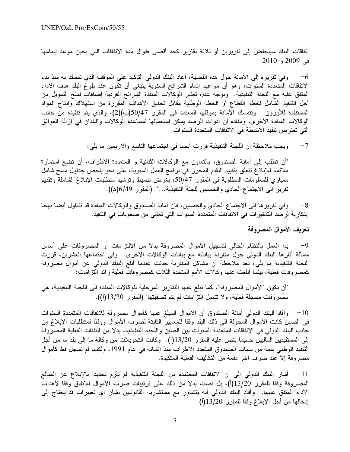اتفاقات البنك سينخفض إلى تقريرين أو ثلاثة تقارير كحد أقصى طوال مدة الاتفاقات التي يحين موعد إتمامها في 2009 و 2010.

وفي نقريره إلى الأمانة حول هذه القضية، أعاد البنك الدولي التأكيد على الموقف الذي نمسك به منذ بدء  $-6$ الاتفاقات المتعددة السنوات، وهو أن مواعيد إتمام الشرائح السنوية ينبغي أن تكون عند بلوغ البلد هدف الأداء المتفق عليه مع اللجنة التنفيذية. وبوجه عام، تعتبر الوكالات المنفذة الشَّرائح الفردية إضافاتٌ لمنح التمويل من أجل التنفيذ الشامل لخطة القطاع أو الخطة الوطنية مقابل تحقيق الأهداف المقررة من استهلاك وإنتاج المواد المستنفدة للأوزون. وتتمسك الأمانة بموقفها المعتمد في المقرر 50/47(ب)(2)، والذي يتم تنفيذه من جانب الوكالات المنفذة الأخرى، ومفاده أن أدوات الرصد يمكن استعمالها لمساعدة الوكالات والبلدان في إزالة العوائق التي تعتر ض تنفيذ الأنشطة في الاتفاقات المتعددة السنوات.

> ويجب ملاحظة أن اللجنة التنفيذية قررت أيضا في اجتماعها التاسع والأربعين ما يلي:  $-7$

"أن تطلب إلى أمانة الصندوق، بالتعاون مع الوكالات الثنائية و المتعددة الأطراف، أن تضع استمارة ملائمة للإبلاغ تتعلَّق بتقييم التقدم المحرز في برامج العمل السنوية، على نحو يلخص جداول مسح شامل معياري للمعلومات المطلوبة في المقرر 50/47، بغرض تبسيط ونرشيد متطلبات الإبلاغ الشاملة وتقديم تقرير إلى الاجتماع الحادي والخمسين للجنة التنفيذية..." (المقرر 6/49(ه)).

وفي تقريرها إلى الاجتماع الحادي والخمسين، فإن أمانة الصندوق والوكالات المنفذة قد تتناول أيضا نهجا  $-8$ إبتكارية لرصد التأخير ات في الاتفاقات المتعددة السنوات التي تعاني من صعوبات في التنفيذ.

## تعريف الأموال المصروفة

بدأ العمل بالنظام الحالي لتسجيل الأموال المصروفة بدلا من الالتزامات أو المصروفات على أساس  $-9$ مسألة أثار ها البنك الدولمي حول مقارنة بياناته مع بيانات الوكالات الأخرى. وفي اجتماعها العشرين، قررت اللجنة التنفيذية ما يلي، بعد ملاحظة أن مشاكل المقارنة حدثت عندما أبلغ البنك الدولمي عن أموال مصروفة كمصروفات فعلية، بينما أبلغت عنها وكالات الأمم المتحدة الثلاث كمصروفات فعلية زائد التزامات:

"أن تكون "الأموال المصروفة"، كما تبلغ عنها التقارير المرحلية للوكالات المنفذة إلى اللجنة التنفيذية، هي مصروفات مسجلة فعلية، ولا تشمل النزامات لم يتم تصفيتها" (المقرر 13/20(أ)).

وأفاد البنك الدولمي أمانة الصندوق أن الأموال المبلغ عنها كأموال مصروفة للاتفاقات المتعددة السنوات  $-10$ في الصين كانت الأموال المحولة إلى ذلك البلد وفقا للمعايير الثابتة لصرف الأموال ووفقا لمتطلبات الإبلاغ من جانب البنك الدولمي في الاتفاقات المتعددة السنوات بين الصين واللجنة التنفيذية، بدلا من النفقات الفعلية المصروفة إلى المستفيدين الماليين حسبما ينص عليه المقرر 13/20(أ). وكانت النحويلات من وكالة ما إلى بلد ما من أجل التتفيذ الوطني سمة من سمات الصندوق المتعدد الأطراف منذ إنشائه في عام 1991، ولكنها لم تسجل قط كأموال مصر وفة إلا عند صرف آخر دفعة من التكاليف الفعلية المتكبدة.

11 – أشار البنك الدولي إلى أن الاتفاقات المعتمدة من اللجنة التنفيذية لم تلزم تحديدا بالإبلاغ عن المبالغ المصروفة وفقا للمقرر 13/20(أ)، بل نصت بدلا من ذلك على ترتيبات صرف الأموال للاتفاق وفقا لأهداف الأداء المتفق عليها. وأفاد البنك الدولي أنه يتشاور مع مستشاريه القانونيين بشأن أي تغييرات قد يحتاج إلى إدخالها من أجل الإبلاغ وفقا للمقرر 13/20(أ).